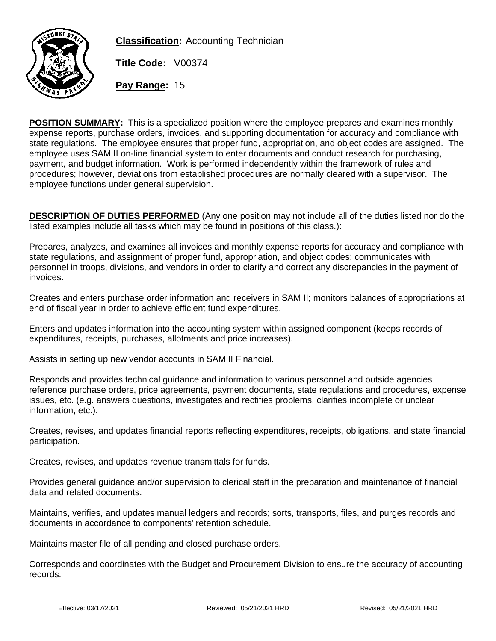

**Classification:** Accounting Technician

**Title Code:** V00374

**Pay Range:** 15

**POSITION SUMMARY:** This is a specialized position where the employee prepares and examines monthly expense reports, purchase orders, invoices, and supporting documentation for accuracy and compliance with state regulations. The employee ensures that proper fund, appropriation, and object codes are assigned. The employee uses SAM II on-line financial system to enter documents and conduct research for purchasing, payment, and budget information. Work is performed independently within the framework of rules and procedures; however, deviations from established procedures are normally cleared with a supervisor. The employee functions under general supervision.

**DESCRIPTION OF DUTIES PERFORMED** (Any one position may not include all of the duties listed nor do the listed examples include all tasks which may be found in positions of this class.):

Prepares, analyzes, and examines all invoices and monthly expense reports for accuracy and compliance with state regulations, and assignment of proper fund, appropriation, and object codes; communicates with personnel in troops, divisions, and vendors in order to clarify and correct any discrepancies in the payment of invoices.

Creates and enters purchase order information and receivers in SAM II; monitors balances of appropriations at end of fiscal year in order to achieve efficient fund expenditures.

Enters and updates information into the accounting system within assigned component (keeps records of expenditures, receipts, purchases, allotments and price increases).

Assists in setting up new vendor accounts in SAM II Financial.

Responds and provides technical guidance and information to various personnel and outside agencies reference purchase orders, price agreements, payment documents, state regulations and procedures, expense issues, etc. (e.g. answers questions, investigates and rectifies problems, clarifies incomplete or unclear information, etc.).

Creates, revises, and updates financial reports reflecting expenditures, receipts, obligations, and state financial participation.

Creates, revises, and updates revenue transmittals for funds.

Provides general guidance and/or supervision to clerical staff in the preparation and maintenance of financial data and related documents.

Maintains, verifies, and updates manual ledgers and records; sorts, transports, files, and purges records and documents in accordance to components' retention schedule.

Maintains master file of all pending and closed purchase orders.

Corresponds and coordinates with the Budget and Procurement Division to ensure the accuracy of accounting records.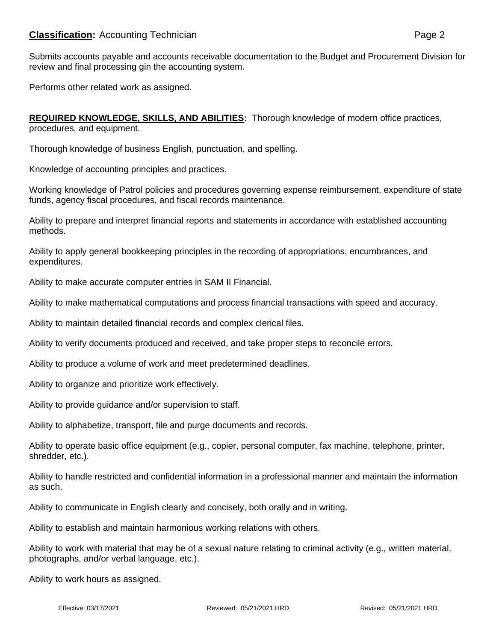## **Classification:** Accounting Technician **Page 2** Page 2

Performs other related work as assigned.

**REQUIRED KNOWLEDGE, SKILLS, AND ABILITIES:** Thorough knowledge of modern office practices, procedures, and equipment.

Thorough knowledge of business English, punctuation, and spelling.

Knowledge of accounting principles and practices.

Working knowledge of Patrol policies and procedures governing expense reimbursement, expenditure of state funds, agency fiscal procedures, and fiscal records maintenance.

Ability to prepare and interpret financial reports and statements in accordance with established accounting methods.

Ability to apply general bookkeeping principles in the recording of appropriations, encumbrances, and expenditures.

Ability to make accurate computer entries in SAM II Financial.

Ability to make mathematical computations and process financial transactions with speed and accuracy.

Ability to maintain detailed financial records and complex clerical files.

Ability to verify documents produced and received, and take proper steps to reconcile errors.

Ability to produce a volume of work and meet predetermined deadlines.

Ability to organize and prioritize work effectively.

Ability to provide guidance and/or supervision to staff.

Ability to alphabetize, transport, file and purge documents and records.

Ability to operate basic office equipment (e.g., copier, personal computer, fax machine, telephone, printer, shredder, etc.).

Ability to handle restricted and confidential information in a professional manner and maintain the information as such.

Ability to communicate in English clearly and concisely, both orally and in writing.

Ability to establish and maintain harmonious working relations with others.

Ability to work with material that may be of a sexual nature relating to criminal activity (e.g., written material, photographs, and/or verbal language, etc.).

Ability to work hours as assigned.